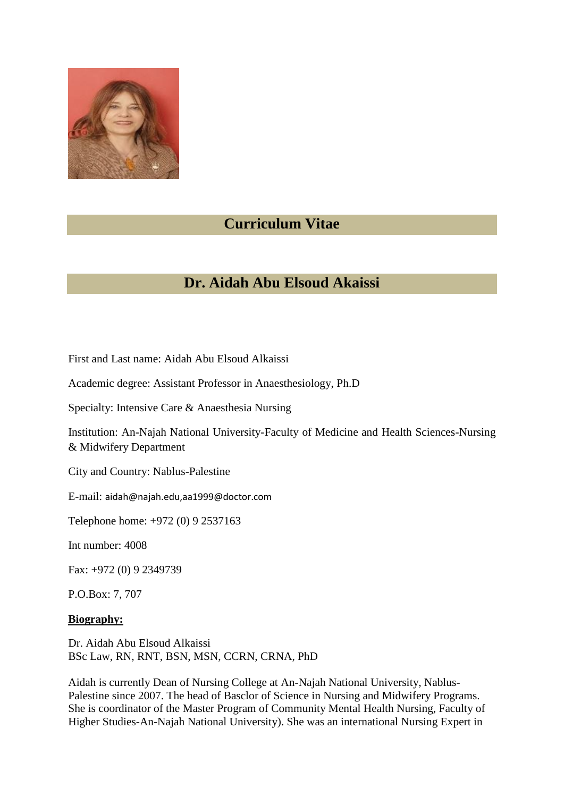

## **Curriculum Vitae**

# **Dr. Aidah Abu Elsoud Akaissi**

First and Last name: Aidah Abu Elsoud Alkaissi

Academic degree: Assistant Professor in Anaesthesiology, Ph.D

Specialty: Intensive Care & Anaesthesia Nursing

Institution: An-Najah National University-Faculty of Medicine and Health Sciences-Nursing & Midwifery Department

City and Country: Nablus-Palestine

E-mail: aidah@najah.edu,aa1999@doctor.com

Telephone home: +972 (0) 9 2537163

Int number: 4008

Fax: +972 (0) 9 2349739

P.O.Box: 7, 707

#### **Biography:**

Dr. Aidah Abu Elsoud Alkaissi BSc Law, RN, RNT, BSN, MSN, CCRN, CRNA, PhD

Aidah is currently Dean of Nursing College at An-Najah National University, Nablus-Palestine since 2007. The head of Basclor of Science in Nursing and Midwifery Programs. She is coordinator of the Master Program of Community Mental Health Nursing, Faculty of Higher Studies-An-Najah National University). She was an international Nursing Expert in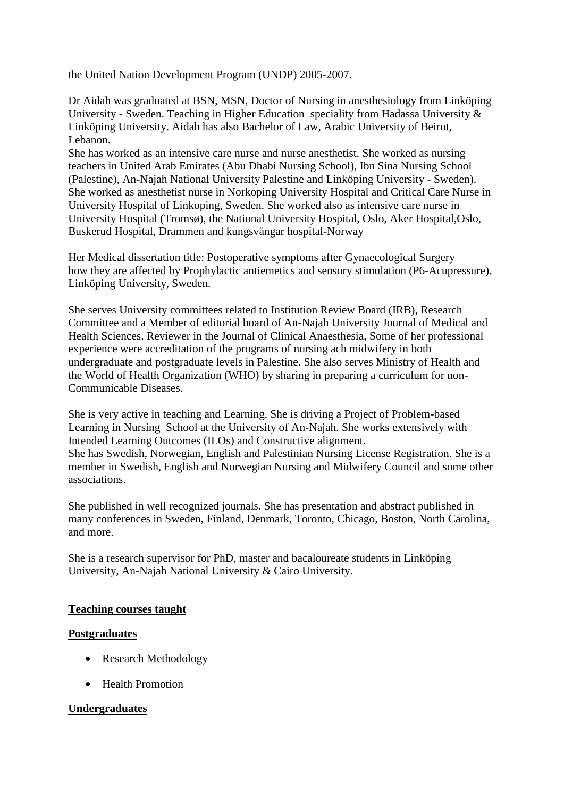the United Nation Development Program (UNDP) 2005-2007.

Dr Aidah was graduated at BSN, MSN, Doctor of Nursing in anesthesiology from Linköping University - Sweden. Teaching in Higher Education speciality from Hadassa University & Linköping University. Aidah has also Bachelor of Law, Arabic University of Beirut, Lebanon.

She has worked as an intensive care nurse and nurse anesthetist. She worked as nursing teachers in United Arab Emirates (Abu Dhabi Nursing School), Ibn Sina Nursing School (Palestine), An-Najah National University Palestine and Linköping University - Sweden). She worked as anesthetist nurse in Norkoping University Hospital and Critical Care Nurse in University Hospital of Linkoping, Sweden. She worked also as intensive care nurse in University Hospital (Tromsø), the National University Hospital, Oslo, Aker Hospital,Oslo, Buskerud Hospital, Drammen and kungsvängar hospital-Norway

Her Medical dissertation title: Postoperative symptoms after Gynaecological Surgery how they are affected by Prophylactic antiemetics and sensory stimulation (P6-Acupressure). Linköping University, Sweden.

She serves University committees related to Institution Review Board (IRB), Research Committee and a Member of editorial board of An-Najah University Journal of Medical and Health Sciences. Reviewer in the Journal of Clinical Anaesthesia, Some of her professional experience were accreditation of the programs of nursing ach midwifery in both undergraduate and postgraduate levels in Palestine. She also serves Ministry of Health and the World of Health Organization (WHO) by sharing in preparing a curriculum for non-Communicable Diseases.

She is very active in teaching and Learning. She is driving a Project of Problem-based Learning in Nursing School at the University of An-Najah. She works extensively with Intended Learning Outcomes (ILOs) and Constructive alignment. She has Swedish, Norwegian, English and Palestinian Nursing License Registration. She is a member in Swedish, English and Norwegian Nursing and Midwifery Council and some other associations.

She published in well recognized journals. She has presentation and abstract published in many conferences in Sweden, Finland, Denmark, Toronto, Chicago, Boston, North Carolina, and more.

She is a research supervisor for PhD, master and bacaloureate students in Linköping University, An-Najah National University & Cairo University.

#### **Teaching courses taught**

#### **Postgraduates**

- Research Methodology
- Health Promotion

### **Undergraduates**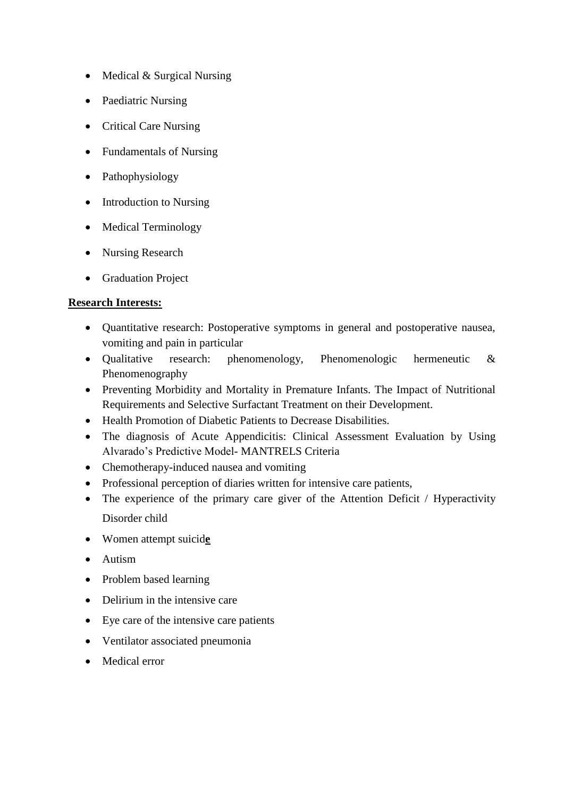- Medical & Surgical Nursing
- Paediatric Nursing
- Critical Care Nursing
- Fundamentals of Nursing
- Pathophysiology
- Introduction to Nursing
- Medical Terminology
- Nursing Research
- Graduation Project

## **Research Interests:**

- Quantitative research: Postoperative symptoms in general and postoperative nausea, vomiting and pain in particular
- Qualitative research: phenomenology, Phenomenologic hermeneutic & Phenomenography
- Preventing Morbidity and Mortality in Premature Infants. The Impact of Nutritional Requirements and Selective Surfactant Treatment on their Development.
- Health Promotion of Diabetic Patients to Decrease Disabilities.
- The diagnosis of Acute Appendicitis: Clinical Assessment Evaluation by Using Alvarado's Predictive Model- MANTRELS Criteria
- Chemotherapy-induced nausea and vomiting
- Professional perception of diaries written for intensive care patients,
- The experience of the primary care giver of the Attention Deficit / Hyperactivity Disorder child
- Women attempt suicid**e**
- Autism
- Problem based learning
- Delirium in the intensive care
- Eye care of the intensive care patients
- Ventilator associated pneumonia
- Medical error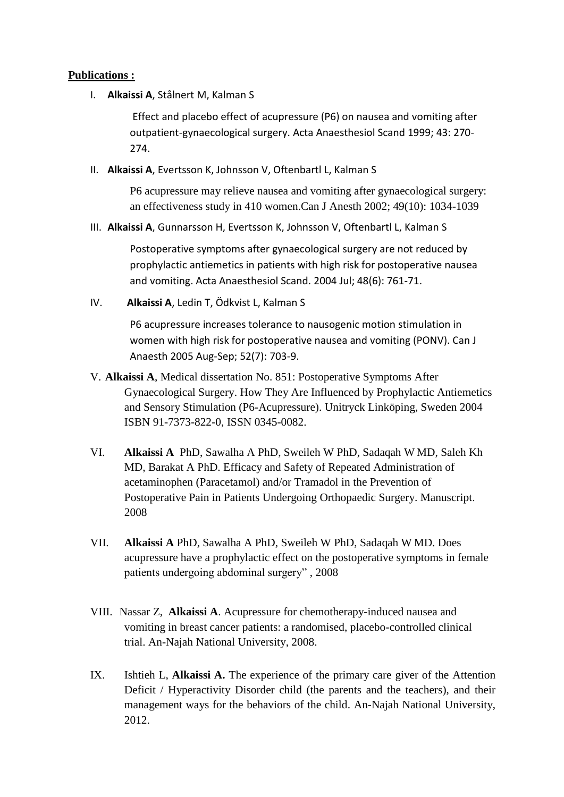#### **Publications :**

I. **Alkaissi A**, Stålnert M, Kalman S

Effect and placebo effect of acupressure (P6) on nausea and vomiting after outpatient-gynaecological surgery. Acta Anaesthesiol Scand 1999; 43: 270- 274.

II. **Alkaissi A**, Evertsson K, Johnsson V, Oftenbartl L, Kalman S

P6 acupressure may relieve nausea and vomiting after gynaecological surgery: an effectiveness study in 410 women.Can J Anesth 2002; 49(10): 1034-1039

III. **Alkaissi A**, Gunnarsson H, Evertsson K, Johnsson V, Oftenbartl L, Kalman S

Postoperative symptoms after gynaecological surgery are not reduced by prophylactic antiemetics in patients with high risk for postoperative nausea and vomiting. Acta Anaesthesiol Scand. 2004 Jul; 48(6): 761-71.

IV. **Alkaissi A**, Ledin T, Ödkvist L, Kalman S

P6 acupressure increases tolerance to nausogenic motion stimulation in women with high risk for postoperative nausea and vomiting (PONV). Can J Anaesth 2005 Aug-Sep; 52(7): 703-9.

- V. **Alkaissi A**, Medical dissertation No. 851: Postoperative Symptoms After Gynaecological Surgery. How They Are Influenced by Prophylactic Antiemetics and Sensory Stimulation (P6-Acupressure). Unitryck Linköping, Sweden 2004 ISBN 91-7373-822-0, ISSN 0345-0082.
- VI. **Alkaissi A** PhD, Sawalha A PhD, Sweileh W PhD, Sadaqah W MD, Saleh Kh MD, Barakat A PhD. Efficacy and Safety of Repeated Administration of acetaminophen (Paracetamol) and/or Tramadol in the Prevention of Postoperative Pain in Patients Undergoing Orthopaedic Surgery. Manuscript. 2008
- VII. **Alkaissi A** PhD, Sawalha A PhD, Sweileh W PhD, Sadaqah W MD. Does acupressure have a prophylactic effect on the postoperative symptoms in female patients undergoing abdominal surgery" , 2008
- VIII. Nassar Z, **Alkaissi A**. Acupressure for chemotherapy-induced nausea and vomiting in breast cancer patients: a randomised, placebo-controlled clinical trial. An-Najah National University, 2008.
- IX. Ishtieh L, **Alkaissi A.** The experience of the primary care giver of the Attention Deficit / Hyperactivity Disorder child (the parents and the teachers), and their management ways for the behaviors of the child. An-Najah National University, 2012.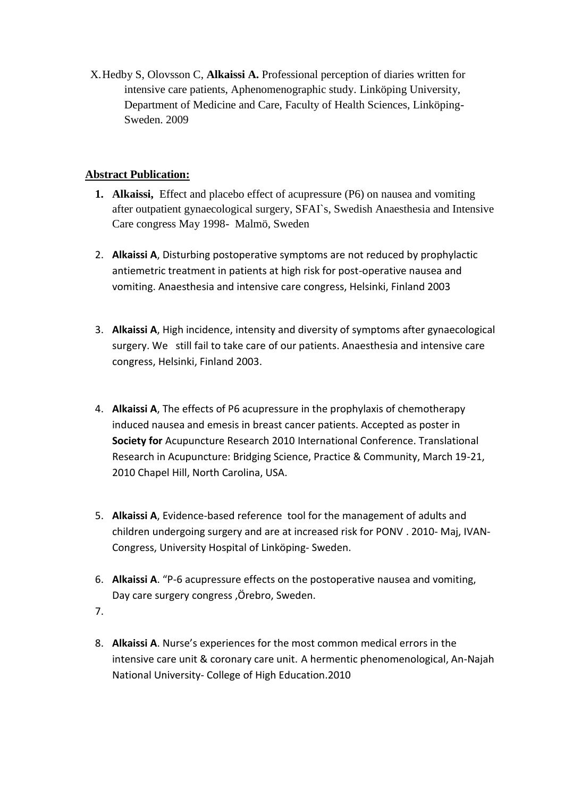X.Hedby S, Olovsson C, **Alkaissi A.** Professional perception of diaries written for intensive care patients, Aphenomenographic study. Linköping University, Department of Medicine and Care, Faculty of Health Sciences, Linköping-Sweden. 2009

## **Abstract Publication:**

- **1. Alkaissi,** Effect and placebo effect of acupressure (P6) on nausea and vomiting after outpatient gynaecological surgery, SFAI`s, Swedish Anaesthesia and Intensive Care congress May 1998- Malmö, Sweden
- 2. **Alkaissi A**, Disturbing postoperative symptoms are not reduced by prophylactic antiemetric treatment in patients at high risk for post-operative nausea and vomiting. Anaesthesia and intensive care congress, Helsinki, Finland 2003
- 3. **Alkaissi A**, High incidence, intensity and diversity of symptoms after gynaecological surgery. We still fail to take care of our patients. Anaesthesia and intensive care congress, Helsinki, Finland 2003.
- 4. **Alkaissi A**, The effects of P6 acupressure in the prophylaxis of chemotherapy induced nausea and emesis in breast cancer patients. Accepted as poster in **Society for** Acupuncture Research 2010 International Conference. Translational Research in Acupuncture: Bridging Science, Practice & Community, March 19-21, 2010 Chapel Hill, North Carolina, USA.
- 5. **Alkaissi A**, Evidence-based reference tool for the management of adults and children undergoing surgery and are at increased risk for PONV . 2010- Maj, IVAN-Congress, University Hospital of Linköping- Sweden.
- 6. **Alkaissi A**. "P-6 acupressure effects on the postoperative nausea and vomiting, Day care surgery congress ,Örebro, Sweden.
- 7.
- 8. **Alkaissi A**. Nurse's experiences for the most common medical errors in the intensive care unit & coronary care unit. A hermentic phenomenological, An-Najah National University- College of High Education.2010